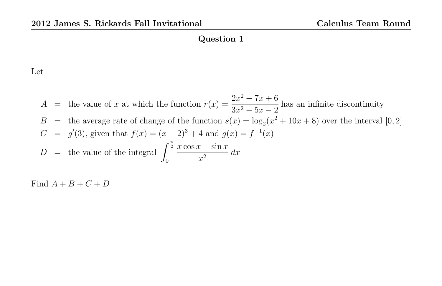Let

$$
A =
$$
 the value of x at which the function  $r(x) = \frac{2x^2 - 7x + 6}{3x^2 - 5x - 2}$  has an infinite discontinuity  
\n
$$
B =
$$
 the average rate of change of the function  $s(x) = \log_2(x^2 + 10x + 8)$  over the interval [0, 2]  
\n
$$
C = g'(3)
$$
, given that  $f(x) = (x - 2)^3 + 4$  and  $g(x) = f^{-1}(x)$   
\n
$$
D =
$$
 the value of the integral  $\int_0^{\frac{\pi}{2}} \frac{x \cos x - \sin x}{x^2} dx$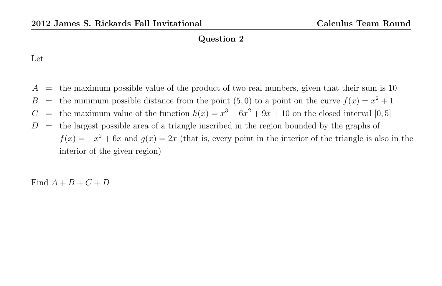#### Let

- $A =$  the maximum possible value of the product of two real numbers, given that their sum is 10
- B = the minimum possible distance from the point  $(5, 0)$  to a point on the curve  $f(x) = x^2 + 1$
- C = the maximum value of the function  $h(x) = x^3 6x^2 + 9x + 10$  on the closed interval [0,5]
- $D =$  the largest possible area of a triangle inscribed in the region bounded by the graphs of  $f(x) = -x^2 + 6x$  and  $g(x) = 2x$  (that is, every point in the interior of the triangle is also in the interior of the given region)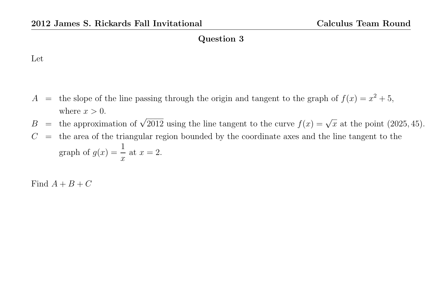#### Let

- $A =$  the slope of the line passing through the origin and tangent to the graph of  $f(x) = x^2 + 5$ , where  $x > 0$ .
- Where  $x > 0$ .<br>B = the approximation of  $\sqrt{2012}$  using the line tangent to the curve  $f(x) = \sqrt{x}$  at the point (2025, 45).
- $C =$  the area of the triangular region bounded by the coordinate axes and the line tangent to the graph of  $g(x) = \frac{1}{x}$  $\boldsymbol{x}$ at  $x = 2$ .

Find  $A + B + C$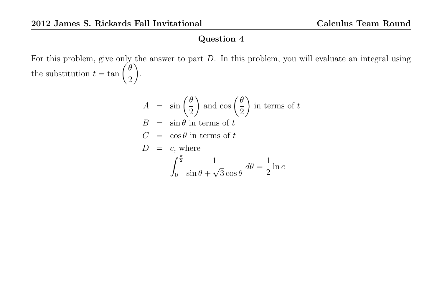For this problem, give only the answer to part  $D$ . In this problem, you will evaluate an integral using the substitution  $t = \tan \left( \frac{\theta}{2} \right)$ 2  $\setminus$ .

$$
A = \sin\left(\frac{\theta}{2}\right) \text{ and } \cos\left(\frac{\theta}{2}\right) \text{ in terms of } t
$$
  
\n
$$
B = \sin\theta \text{ in terms of } t
$$
  
\n
$$
C = \cos\theta \text{ in terms of } t
$$
  
\n
$$
D = c, \text{ where}
$$
  
\n
$$
\int_0^{\frac{\pi}{2}} \frac{1}{\sin\theta + \sqrt{3}\cos\theta} d\theta = \frac{1}{2} \ln c
$$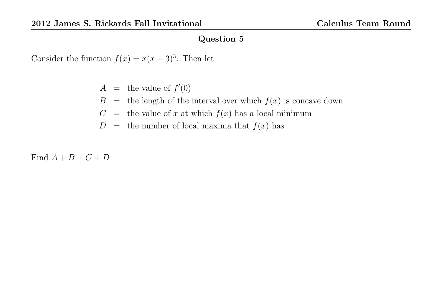Consider the function  $f(x) = x(x-3)^3$ . Then let

- $A =$  the value of  $f'(0)$
- $B =$  the length of the interval over which  $f(x)$  is concave down
- $C =$  the value of x at which  $f(x)$  has a local minimum
- $D =$  the number of local maxima that  $f(x)$  has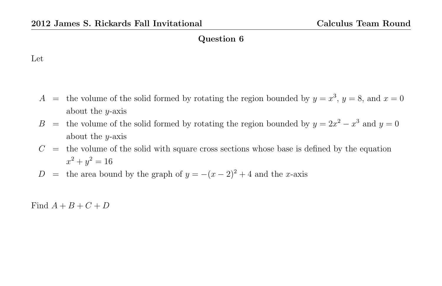#### Let

- $A =$  the volume of the solid formed by rotating the region bounded by  $y = x^3$ ,  $y = 8$ , and  $x = 0$ about the  $y$ -axis
- B = the volume of the solid formed by rotating the region bounded by  $y = 2x^2 x^3$  and  $y = 0$ about the y-axis
- $C =$  the volume of the solid with square cross sections whose base is defined by the equation  $x^2 + y^2 = 16$
- D = the area bound by the graph of  $y = -(x 2)^2 + 4$  and the x-axis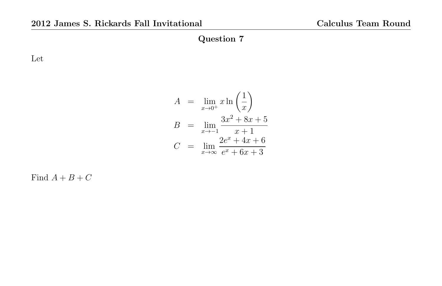Let

$$
A = \lim_{x \to 0^{+}} x \ln\left(\frac{1}{x}\right)
$$
  

$$
B = \lim_{x \to -1} \frac{3x^{2} + 8x + 5}{x + 1}
$$
  

$$
C = \lim_{x \to \infty} \frac{2e^{x} + 4x + 6}{e^{x} + 6x + 3}
$$

Find  $A + B + C$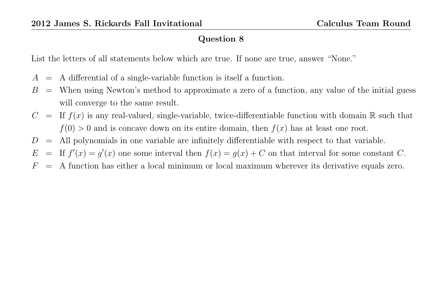List the letters of all statements below which are true. If none are true, answer "None."

- $A = A$  differential of a single-variable function is itself a function.
- $B =$  When using Newton's method to approximate a zero of a function, any value of the initial guess will converge to the same result.
- $C = \text{If } f(x)$  is any real-valued, single-variable, twice-differentiable function with domain R such that  $f(0) > 0$  and is concave down on its entire domain, then  $f(x)$  has at least one root.
- $D =$  All polynomials in one variable are infinitely differentiable with respect to that variable.
- $E = \text{If } f'(x) = g'(x)$  one some interval then  $f(x) = g(x) + C$  on that interval for some constant C.
- $F = A$  function has either a local minimum or local maximum wherever its derivative equals zero.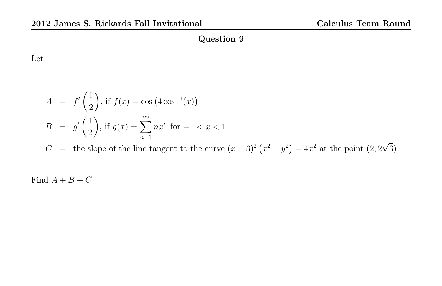Let

$$
A = f'\left(\frac{1}{2}\right), \text{ if } f(x) = \cos(4\cos^{-1}(x))
$$
  

$$
B = g'\left(\frac{1}{2}\right), \text{ if } g(x) = \sum_{n=1}^{\infty} nx^n \text{ for } -1 < x < 1.
$$

C = the slope of the line tangent to the curve  $(x-3)^2(x^2+y^2) = 4x^2$  at the point  $(2, 2)$ √ 3)

Find  $A + B + C$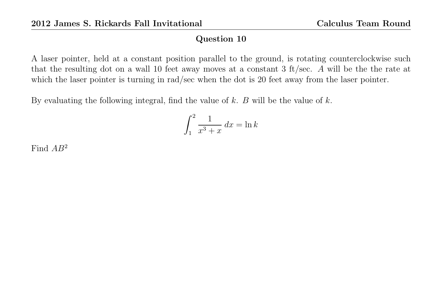A laser pointer, held at a constant position parallel to the ground, is rotating counterclockwise such that the resulting dot on a wall 10 feet away moves at a constant 3 ft/sec. A will be the the rate at which the laser pointer is turning in rad/sec when the dot is 20 feet away from the laser pointer.

By evaluating the following integral, find the value of  $k$ . B will be the value of  $k$ .

$$
\int_1^2 \frac{1}{x^3 + x} dx = \ln k
$$

Find  $AB^2$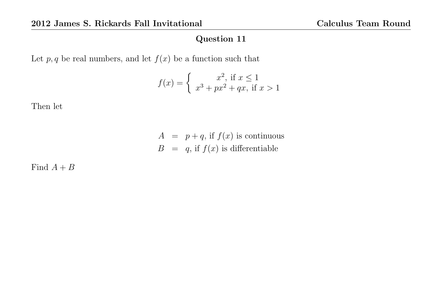Let  $p, q$  be real numbers, and let  $f(x)$  be a function such that

$$
f(x) = \begin{cases} x^2, & \text{if } x \le 1 \\ x^3 + px^2 + qx, & \text{if } x > 1 \end{cases}
$$

Then let

 $A = p + q$ , if  $f(x)$  is continuous  $B = q$ , if  $f(x)$  is differentiable

Find  $A + B$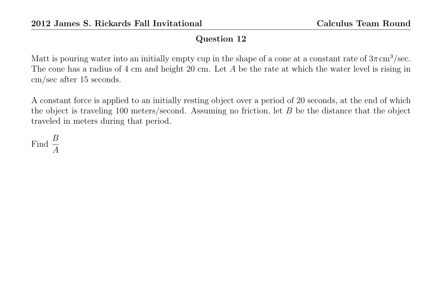Matt is pouring water into an initially empty cup in the shape of a cone at a constant rate of  $3\pi \text{ cm}^3/\text{sec}$ . The cone has a radius of 4 cm and height 20 cm. Let A be the rate at which the water level is rising in cm/sec after 15 seconds.

A constant force is applied to an initially resting object over a period of 20 seconds, at the end of which the object is traveling 100 meters/second. Assuming no friction, let  $B$  be the distance that the object traveled in meters during that period.

Find  $\frac{B}{4}$ A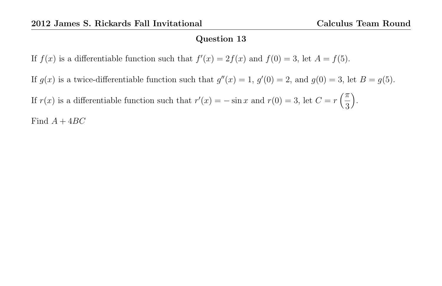If  $f(x)$  is a differentiable function such that  $f'(x) = 2f(x)$  and  $f(0) = 3$ , let  $A = f(5)$ .

If  $g(x)$  is a twice-differentiable function such that  $g''(x) = 1$ ,  $g'(0) = 2$ , and  $g(0) = 3$ , let  $B = g(5)$ .

If  $r(x)$  is a differentiable function such that  $r'(x) = -\sin x$  and  $r(0) = 3$ , let  $C = r\left(\frac{\pi}{2}\right)$ 3 .

Find  $A + 4BC$